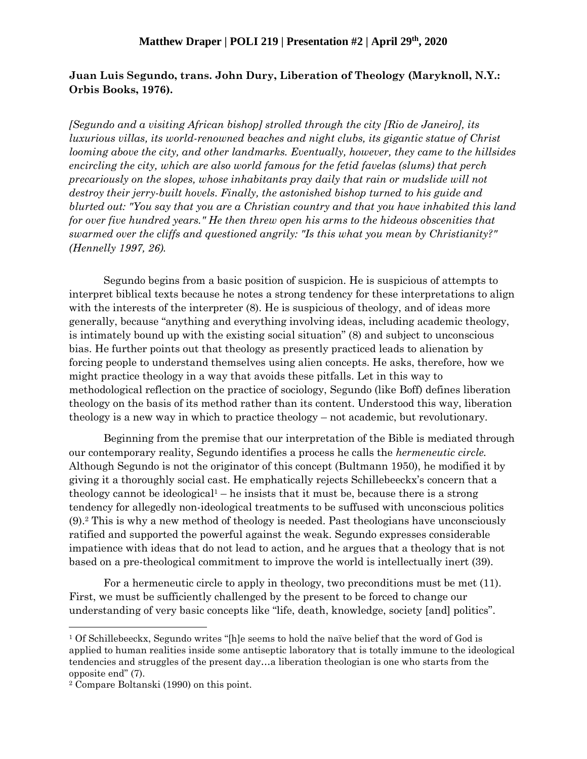## **Matthew Draper | POLI 219 | Presentation #2 | April 29th, 2020**

## **Juan Luis Segundo, trans. John Dury, Liberation of Theology (Maryknoll, N.Y.: Orbis Books, 1976).**

*[Segundo and a visiting African bishop] strolled through the city [Rio de Janeiro], its luxurious villas, its world-renowned beaches and night clubs, its gigantic statue of Christ looming above the city, and other landmarks. Eventually, however, they came to the hillsides encircling the city, which are also world famous for the fetid favelas (slums) that perch precariously on the slopes, whose inhabitants pray daily that rain or mudslide will not destroy their jerry-built hovels. Finally, the astonished bishop turned to his guide and blurted out: "You say that you are a Christian country and that you have inhabited this land for over five hundred years." He then threw open his arms to the hideous obscenities that swarmed over the cliffs and questioned angrily: "Is this what you mean by Christianity?" (Hennelly 1997, 26).*

Segundo begins from a basic position of suspicion. He is suspicious of attempts to interpret biblical texts because he notes a strong tendency for these interpretations to align with the interests of the interpreter (8). He is suspicious of theology, and of ideas more generally, because "anything and everything involving ideas, including academic theology, is intimately bound up with the existing social situation" (8) and subject to unconscious bias. He further points out that theology as presently practiced leads to alienation by forcing people to understand themselves using alien concepts. He asks, therefore, how we might practice theology in a way that avoids these pitfalls. Let in this way to methodological reflection on the practice of sociology, Segundo (like Boff) defines liberation theology on the basis of its method rather than its content. Understood this way, liberation theology is a new way in which to practice theology – not academic, but revolutionary.

Beginning from the premise that our interpretation of the Bible is mediated through our contemporary reality, Segundo identifies a process he calls the *hermeneutic circle.*  Although Segundo is not the originator of this concept (Bultmann 1950), he modified it by giving it a thoroughly social cast. He emphatically rejects Schillebeeckx's concern that a theology cannot be ideological<sup>1</sup> – he insists that it must be, because there is a strong tendency for allegedly non-ideological treatments to be suffused with unconscious politics (9).<sup>2</sup> This is why a new method of theology is needed. Past theologians have unconsciously ratified and supported the powerful against the weak. Segundo expresses considerable impatience with ideas that do not lead to action, and he argues that a theology that is not based on a pre-theological commitment to improve the world is intellectually inert (39).

For a hermeneutic circle to apply in theology, two preconditions must be met (11). First, we must be sufficiently challenged by the present to be forced to change our understanding of very basic concepts like "life, death, knowledge, society [and] politics".

<sup>1</sup> Of Schillebeeckx, Segundo writes "[h]e seems to hold the naïve belief that the word of God is applied to human realities inside some antiseptic laboratory that is totally immune to the ideological tendencies and struggles of the present day…a liberation theologian is one who starts from the opposite end" (7).

<sup>2</sup> Compare Boltanski (1990) on this point.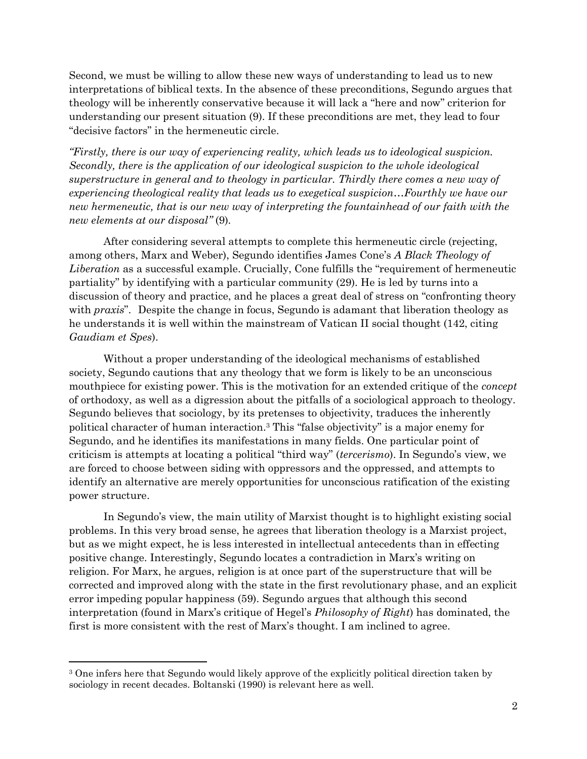Second, we must be willing to allow these new ways of understanding to lead us to new interpretations of biblical texts. In the absence of these preconditions, Segundo argues that theology will be inherently conservative because it will lack a "here and now" criterion for understanding our present situation (9). If these preconditions are met, they lead to four "decisive factors" in the hermeneutic circle.

*"Firstly, there is our way of experiencing reality, which leads us to ideological suspicion. Secondly, there is the application of our ideological suspicion to the whole ideological superstructure in general and to theology in particular. Thirdly there comes a new way of experiencing theological reality that leads us to exegetical suspicion…Fourthly we have our new hermeneutic, that is our new way of interpreting the fountainhead of our faith with the new elements at our disposal"* (9)*.*

After considering several attempts to complete this hermeneutic circle (rejecting, among others, Marx and Weber), Segundo identifies James Cone's *A Black Theology of Liberation* as a successful example. Crucially, Cone fulfills the "requirement of hermeneutic partiality" by identifying with a particular community (29). He is led by turns into a discussion of theory and practice, and he places a great deal of stress on "confronting theory with *praxis*". Despite the change in focus, Segundo is adamant that liberation theology as he understands it is well within the mainstream of Vatican II social thought (142, citing *Gaudiam et Spes*).

Without a proper understanding of the ideological mechanisms of established society, Segundo cautions that any theology that we form is likely to be an unconscious mouthpiece for existing power. This is the motivation for an extended critique of the *concept*  of orthodoxy, as well as a digression about the pitfalls of a sociological approach to theology. Segundo believes that sociology, by its pretenses to objectivity, traduces the inherently political character of human interaction. <sup>3</sup> This "false objectivity" is a major enemy for Segundo, and he identifies its manifestations in many fields. One particular point of criticism is attempts at locating a political "third way" (*tercerismo*). In Segundo's view, we are forced to choose between siding with oppressors and the oppressed, and attempts to identify an alternative are merely opportunities for unconscious ratification of the existing power structure.

In Segundo's view, the main utility of Marxist thought is to highlight existing social problems. In this very broad sense, he agrees that liberation theology is a Marxist project, but as we might expect, he is less interested in intellectual antecedents than in effecting positive change. Interestingly, Segundo locates a contradiction in Marx's writing on religion. For Marx, he argues, religion is at once part of the superstructure that will be corrected and improved along with the state in the first revolutionary phase, and an explicit error impeding popular happiness (59). Segundo argues that although this second interpretation (found in Marx's critique of Hegel's *Philosophy of Right*) has dominated, the first is more consistent with the rest of Marx's thought. I am inclined to agree.

<sup>&</sup>lt;sup>3</sup> One infers here that Segundo would likely approve of the explicitly political direction taken by sociology in recent decades. Boltanski (1990) is relevant here as well.